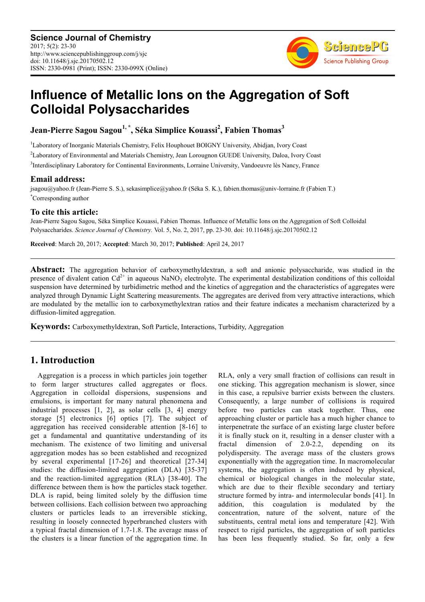

# **Influence of Metallic Ions on the Aggregation of Soft Colloidal Polysaccharides**

**Jean-Pierre Sagou Sagou1, \*, Séka Simplice Kouassi<sup>2</sup> , Fabien Thomas<sup>3</sup>**

<sup>1</sup>Laboratory of Inorganic Materials Chemistry, Felix Houphouet BOIGNY University, Abidjan, Ivory Coast <sup>2</sup>Laboratory of Environmental and Materials Chemistry, Jean Lorougnon GUEDE University, Daloa, Ivory Coast

3 Interdisciplinary Laboratory for Continental Environments, Lorraine University, Vandoeuvre lès Nancy, France

# **Email address:**

jsagou@yahoo.fr (Jean-Pierre S. S.), sekasimplice@yahoo.fr (Séka S. K.), fabien.thomas@univ-lorraine.fr (Fabien T.) \*Corresponding author

### **To cite this article:**

Jean-Pierre Sagou Sagou, Séka Simplice Kouassi, Fabien Thomas. Influence of Metallic Ions on the Aggregation of Soft Colloidal Polysaccharides. *Science Journal of Chemistry.* Vol. 5, No. 2, 2017, pp. 23-30. doi: 10.11648/j.sjc.20170502.12

**Received**: March 20, 2017; **Accepted**: March 30, 2017; **Published**: April 24, 2017

**Abstract:** The aggregation behavior of carboxymethyldextran, a soft and anionic polysaccharide, was studied in the presence of divalent cation  $Cd^{2+}$  in aqueous NaNO<sub>3</sub> electrolyte. The experimental destabilization conditions of this colloidal suspension have determined by turbidimetric method and the kinetics of aggregation and the characteristics of aggregates were analyzed through Dynamic Light Scattering measurements. The aggregates are derived from very attractive interactions, which are modulated by the metallic ion to carboxymethylextran ratios and their feature indicates a mechanism characterized by a diffusion-limited aggregation.

**Keywords:** Carboxymethyldextran, Soft Particle, Interactions, Turbidity, Aggregation

# **1. Introduction**

Aggregation is a process in which particles join together to form larger structures called aggregates or flocs. Aggregation in colloidal dispersions, suspensions and emulsions, is important for many natural phenomena and industrial processes [1, 2], as solar cells [3, 4] energy storage [5] electronics [6] optics [7]. The subject of aggregation has received considerable attention [8-16] to get a fundamental and quantitative understanding of its mechanism. The existence of two limiting and universal aggregation modes has so been established and recognized by several experimental [17-26] and theoretical [27-34] studies: the diffusion-limited aggregation (DLA) [35-37] and the reaction-limited aggregation (RLA) [38-40]. The difference between them is how the particles stack together. DLA is rapid, being limited solely by the diffusion time between collisions. Each collision between two approaching clusters or particles leads to an irreversible sticking, resulting in loosely connected hyperbranched clusters with a typical fractal dimension of 1.7-1.8. The average mass of the clusters is a linear function of the aggregation time. In RLA, only a very small fraction of collisions can result in one sticking. This aggregation mechanism is slower, since in this case, a repulsive barrier exists between the clusters. Consequently, a large number of collisions is required before two particles can stack together. Thus, one approaching cluster or particle has a much higher chance to interpenetrate the surface of an existing large cluster before it is finally stuck on it, resulting in a denser cluster with a fractal dimension of 2.0-2.2, depending on its polydispersity. The average mass of the clusters grows exponentially with the aggregation time. In macromolecular systems, the aggregation is often induced by physical, chemical or biological changes in the molecular state, which are due to their flexible secondary and tertiary structure formed by intra- and intermolecular bonds [41]. In addition, this coagulation is modulated by the concentration, nature of the solvent, nature of the substituents, central metal ions and temperature [42]. With respect to rigid particles, the aggregation of soft particles has been less frequently studied. So far, only a few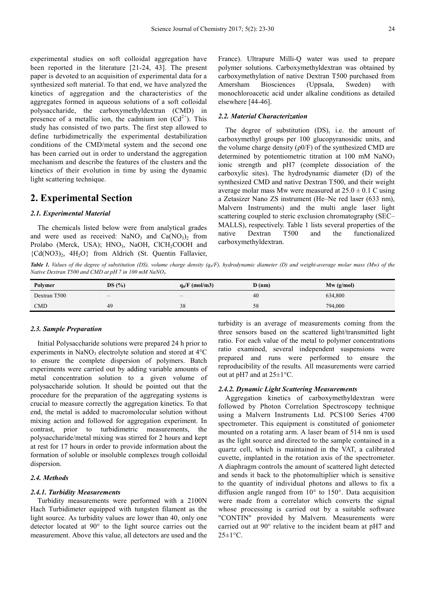experimental studies on soft colloidal aggregation have been reported in the literature [21-24, 43]. The present paper is devoted to an acquisition of experimental data for a synthesized soft material. To that end, we have analyzed the kinetics of aggregation and the characteristics of the aggregates formed in aqueous solutions of a soft colloidal polysaccharide, the carboxymethyldextran (CMD) in presence of a metallic ion, the cadmium ion  $(Cd^{2+})$ . This study has consisted of two parts. The first step allowed to define turbidimetrically the experimental destabilization conditions of the CMD/metal system and the second one has been carried out in order to understand the aggregation mechanism and describe the features of the clusters and the kinetics of their evolution in time by using the dynamic light scattering technique.

### **2. Experimental Section**

#### *2.1. Experimental Material*

The chemicals listed below were from analytical grades and were used as received:  $NaNO_3$  and  $Ca(NO_3)_2$  from Prolabo (Merck, USA); HNO<sub>3</sub>, NaOH, ClCH<sub>2</sub>COOH and {Cd(NO3)2, 4H2O} from Aldrich (St. Quentin Fallavier,

France). Ultrapure Milli-Q water was used to prepare polymer solutions. Carboxymethyldextran was obtained by carboxymethylation of native Dextran T500 purchased from Amersham Biosciences (Uppsala, Sweden) with monochloroacetic acid under alkaline conditions as detailed elsewhere [44-46].

#### *2.2. Material Characterization*

The degree of substitution (DS), i.e. the amount of carboxymethyl groups per 100 glucopyranosidic units, and the volume charge density  $(\rho 0/F)$  of the synthesized CMD are determined by potentiometric titration at  $100 \text{ mM }$  NaNO<sub>3</sub> ionic strength and pH7 (complete dissociation of the carboxylic sites). The hydrodynamic diameter (D) of the synthesized CMD and native Dextran T500, and their weight average molar mass Mw were measured at  $25.0 \pm 0.1$  C using a Zetasizer Nano ZS instrument (He–Ne red laser (633 nm), Malvern Instruments) and the multi angle laser light scattering coupled to steric exclusion chromatography (SEC– MALLS), respectively. Table 1 lists several properties of the native Dextran T500 and the functionalized carboxymethyldextran.

*Table 1. Values of the degree of substitution (DS), volume charge density (q0/F), hydrodynamic diameter (D) and weight-average molar mass (Mw) of the Native Dextran T500 and CMD at pH 7 in 100 mM NaNO3.* 

| Polymer      | DS(%) | $q_0/F \text{ (mol/m3)}$ | D(nm) | $Mw$ (g/mol) |
|--------------|-------|--------------------------|-------|--------------|
| Dextran T500 |       |                          | 40    | 634,800      |
| <b>CMD</b>   | 49    | 38                       | 58    | 794,000      |

#### *2.3. Sample Preparation*

Initial Polysaccharide solutions were prepared 24 h prior to experiments in NaNO<sub>3</sub> electrolyte solution and stored at  $4^{\circ}$ C to ensure the complete dispersion of polymers. Batch experiments were carried out by adding variable amounts of metal concentration solution to a given volume of polysaccharide solution. It should be pointed out that the procedure for the preparation of the aggregating systems is crucial to measure correctly the aggregation kinetics. To that end, the metal is added to macromolecular solution without mixing action and followed for aggregation experiment. In contrast, prior to turbidimetric measurements, the polysaccharide/metal mixing was stirred for 2 hours and kept at rest for 17 hours in order to provide information about the formation of soluble or insoluble complexes trough colloidal dispersion.

#### *2.4. Methods*

#### *2.4.1. Turbidity Measurements*

Turbidity measurements were performed with a 2100N Hach Turbidimeter equipped with tungsten filament as the light source. As turbidity values are lower than 40, only one detector located at 90° to the light source carries out the measurement. Above this value, all detectors are used and the turbidity is an average of measurements coming from the three sensors based on the scattered light/transmitted light ratio. For each value of the metal to polymer concentrations ratio examined, several independent suspensions were prepared and runs were performed to ensure the reproducibility of the results. All measurements were carried out at pH7 and at 25±1°C.

#### *2.4.2. Dynamic Light Scattering Measurements*

Aggregation kinetics of carboxymethyldextran were followed by Photon Correlation Spectroscopy technique using a Malvern Instruments Ltd. PCS100 Series 4700 spectrometer. This equipment is constituted of goniometer mounted on a rotating arm. A laser beam of 514 nm is used as the light source and directed to the sample contained in a quartz cell, which is maintained in the VAT, a calibrated cuvette, implanted in the rotation axis of the spectrometer. A diaphragm controls the amount of scattered light detected and sends it back to the photomultiplier which is sensitive to the quantity of individual photons and allows to fix a diffusion angle ranged from 10° to 150°. Data acquisition were made from a correlator which converts the signal whose processing is carried out by a suitable software "CONTIN" provided by Malvern. Measurements were carried out at 90° relative to the incident beam at pH7 and  $25 \pm 1$ °C.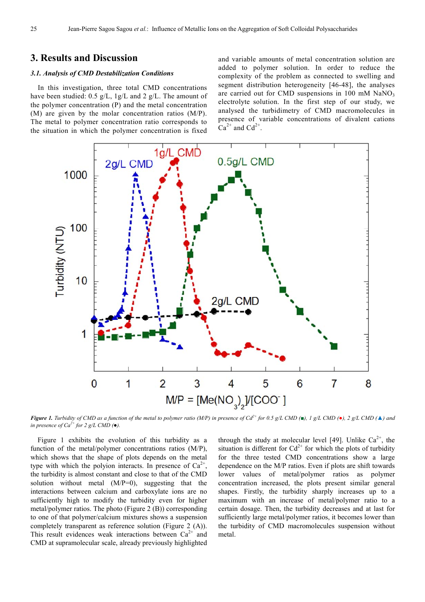# **3. Results and Discussion**

#### *3.1. Analysis of CMD Destabilization Conditions*

In this investigation, three total CMD concentrations have been studied: 0.5 g/L, 1g/L and 2 g/L. The amount of the polymer concentration (P) and the metal concentration (M) are given by the molar concentration ratios (M/P). The metal to polymer concentration ratio corresponds to the situation in which the polymer concentration is fixed and variable amounts of metal concentration solution are added to polymer solution. In order to reduce the complexity of the problem as connected to swelling and segment distribution heterogeneity [46-48], the analyses are carried out for CMD suspensions in  $100 \text{ mM }$  NaNO<sub>3</sub> electrolyte solution. In the first step of our study, we analysed the turbidimetry of CMD macromolecules in presence of variable concentrations of divalent cations  $Ca^{2+}$  and  $Cd^{2+}$ .



*Figure 1. Turbidity of CMD as a function of the metal to polymer ratio (M/P) in presence of Cd<sup>2+</sup> for 0.5 g/L CMD (■), 1 g/L CMD (●), 2 g/L CMD (▲) and in presence of*  $Ca^{2+}$  *for 2 g/L CMD (* $\bullet$ *).* 

Figure 1 exhibits the evolution of this turbidity as a function of the metal/polymer concentrations ratios (M/P), which shows that the shape of plots depends on the metal type with which the polyion interacts. In presence of  $Ca^{2+}$ , the turbidity is almost constant and close to that of the CMD solution without metal (M/P=0), suggesting that the interactions between calcium and carboxylate ions are no sufficiently high to modify the turbidity even for higher metal/polymer ratios. The photo (Figure 2 (B)) corresponding to one of that polymer/calcium mixtures shows a suspension completely transparent as reference solution (Figure 2 (A)). This result evidences weak interactions between  $Ca^{2+}$  and CMD at supramolecular scale, already previously highlighted

through the study at molecular level [49]. Unlike  $Ca^{2+}$ , the situation is different for  $Cd^{2+}$  for which the plots of turbidity for the three tested CMD concentrations show a large dependence on the M/P ratios. Even if plots are shift towards lower values of metal/polymer ratios as polymer concentration increased, the plots present similar general shapes. Firstly, the turbidity sharply increases up to a maximum with an increase of metal/polymer ratio to a certain dosage. Then, the turbidity decreases and at last for sufficiently large metal/polymer ratios, it becomes lower than the turbidity of CMD macromolecules suspension without metal.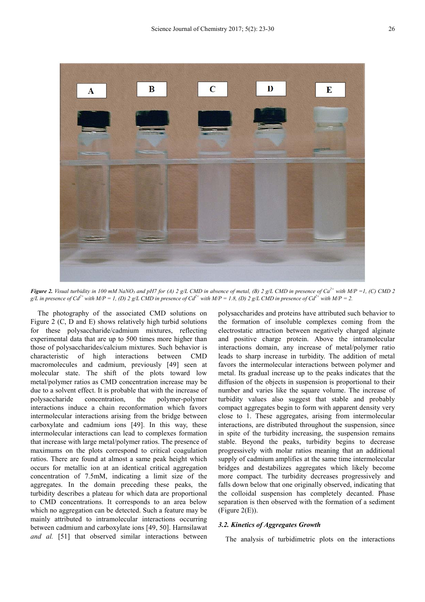

*Figure 2. Visual turbidity in 100 mM NaNO3 and pH7 for (A) 2 g/L CMD in absence of metal, (B) 2 g/L CMD in presence of Ca2+ with M/P =1, (C) CMD 2 g*/L in presence of Cd<sup>2+</sup> with M/P = 1, (D) 2 g/L CMD in presence of Cd<sup>2+</sup> with M/P = 1.8, (D) 2 g/L CMD in presence of Cd<sup>2+</sup> with M/P = 2.

The photography of the associated CMD solutions on Figure 2 (C, D and E) shows relatively high turbid solutions for these polysaccharide/cadmium mixtures, reflecting experimental data that are up to 500 times more higher than those of polysaccharides/calcium mixtures. Such behavior is characteristic of high interactions between CMD macromolecules and cadmium, previously [49] seen at molecular state. The shift of the plots toward low metal/polymer ratios as CMD concentration increase may be due to a solvent effect. It is probable that with the increase of polysaccharide concentration, the polymer-polymer interactions induce a chain reconformation which favors intermolecular interactions arising from the bridge between carboxylate and cadmium ions [49]. In this way, these intermolecular interactions can lead to complexes formation that increase with large metal/polymer ratios. The presence of maximums on the plots correspond to critical coagulation ratios. There are found at almost a same peak height which occurs for metallic ion at an identical critical aggregation concentration of 7.5mM, indicating a limit size of the aggregates. In the domain preceding these peaks, the turbidity describes a plateau for which data are proportional to CMD concentrations. It corresponds to an area below which no aggregation can be detected. Such a feature may be mainly attributed to intramolecular interactions occurring between cadmium and carboxylate ions [49, 50]. Harnsilawat *and al.* [51] that observed similar interactions between polysaccharides and proteins have attributed such behavior to the formation of insoluble complexes coming from the electrostatic attraction between negatively charged alginate and positive charge protein. Above the intramolecular interactions domain, any increase of metal/polymer ratio leads to sharp increase in turbidity. The addition of metal favors the intermolecular interactions between polymer and metal. Its gradual increase up to the peaks indicates that the diffusion of the objects in suspension is proportional to their number and varies like the square volume. The increase of turbidity values also suggest that stable and probably compact aggregates begin to form with apparent density very close to 1. These aggregates, arising from intermolecular interactions, are distributed throughout the suspension, since in spite of the turbidity increasing, the suspension remains stable. Beyond the peaks, turbidity begins to decrease progressively with molar ratios meaning that an additional supply of cadmium amplifies at the same time intermolecular bridges and destabilizes aggregates which likely become more compact. The turbidity decreases progressively and falls down below that one originally observed, indicating that the colloidal suspension has completely decanted. Phase separation is then observed with the formation of a sediment (Figure  $2(E)$ ).

#### *3.2. Kinetics of Aggregates Growth*

The analysis of turbidimetric plots on the interactions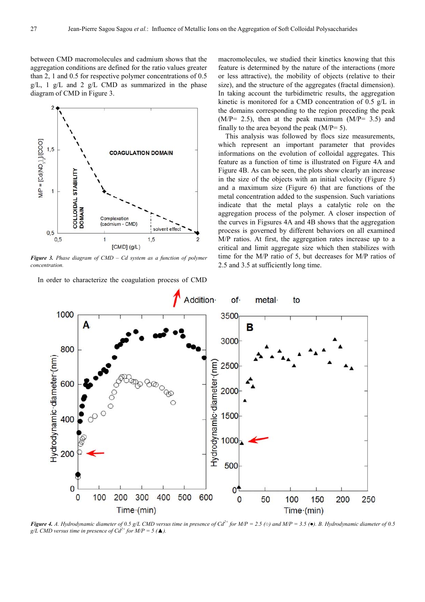between CMD macromolecules and cadmium shows that the aggregation conditions are defined for the ratio values greater than 2, 1 and 0.5 for respective polymer concentrations of 0.5  $g/L$ , 1  $g/L$  and 2  $g/L$  CMD as summarized in the phase diagram of CMD in Figure 3.



*Figure 3. Phase diagram of CMD – Cd system as a function of polymer concentration.* 

In order to characterize the coagulation process of CMD

macromolecules, we studied their kinetics knowing that this feature is determined by the nature of the interactions (more or less attractive), the mobility of objects (relative to their size), and the structure of the aggregates (fractal dimension). In taking account the turbidimetric results, the aggregation kinetic is monitored for a CMD concentration of 0.5 g/L in the domains corresponding to the region preceding the peak  $(M/P= 2.5)$ , then at the peak maximum  $(M/P= 3.5)$  and finally to the area beyond the peak  $(M/P= 5)$ .

This analysis was followed by flocs size measurements, which represent an important parameter that provides informations on the evolution of colloidal aggregates. This feature as a function of time is illustrated on Figure 4A and Figure 4B. As can be seen, the plots show clearly an increase in the size of the objects with an initial velocity (Figure 5) and a maximum size (Figure 6) that are functions of the metal concentration added to the suspension. Such variations indicate that the metal plays a catalytic role on the aggregation process of the polymer. A closer inspection of the curves in Figsures 4A and 4B shows that the aggregation process is governed by different behaviors on all examined M/P ratios. At first, the aggregation rates increase up to a critical and limit aggregate size which then stabilizes with time for the M/P ratio of 5, but decreases for M/P ratios of 2.5 and 3.5 at sufficiently long time.



**Figure 4.** *A. Hydrodynamic diameter of 0.5 g/L CMD versus time in presence of Cd<sup>2+</sup> for M/P = 2.5 (* $\circ$ *) and M/P = 3.5 (* $\bullet$ *). B. Hydrodynamic diameter of 0.5 g*/*L CMD* versus time in presence of  $Cd^{2+}$  for  $M/P = 5$  ( $\triangle$ ).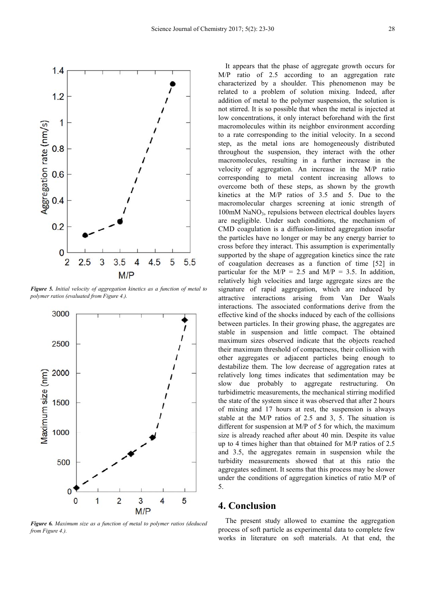

*Figure 5. Initial velocity of aggregation kinetics as a function of metal to polymer ratios (evaluated from Figure 4.).* 



*Figure 6. Maximum size as a function of metal to polymer ratios (deduced from Figure 4.).* 

It appears that the phase of aggregate growth occurs for M/P ratio of 2.5 according to an aggregation rate characterized by a shoulder. This phenomenon may be related to a problem of solution mixing. Indeed, after addition of metal to the polymer suspension, the solution is not stirred. It is so possible that when the metal is injected at low concentrations, it only interact beforehand with the first macromolecules within its neighbor environment according to a rate corresponding to the initial velocity. In a second step, as the metal ions are homogeneously distributed throughout the suspension, they interact with the other macromolecules, resulting in a further increase in the velocity of aggregation. An increase in the M/P ratio corresponding to metal content increasing allows to overcome both of these steps, as shown by the growth kinetics at the M/P ratios of 3.5 and 5. Due to the macromolecular charges screening at ionic strength of  $100 \text{m}$ M NaNO<sub>3</sub>, repulsions between electrical doubles layers are negligible. Under such conditions, the mechanism of CMD coagulation is a diffusion-limited aggregation insofar the particles have no longer or may be any energy barrier to cross before they interact. This assumption is experimentally supported by the shape of aggregation kinetics since the rate of coagulation decreases as a function of time [52] in particular for the  $M/P = 2.5$  and  $M/P = 3.5$ . In addition, relatively high velocities and large aggregate sizes are the signature of rapid aggregation, which are induced by attractive interactions arising from Van Der Waals interactions. The associated conformations derive from the effective kind of the shocks induced by each of the collisions between particles. In their growing phase, the aggregates are stable in suspension and little compact. The obtained maximum sizes observed indicate that the objects reached their maximum threshold of compactness, their collision with other aggregates or adjacent particles being enough to destabilize them. The low decrease of aggregation rates at relatively long times indicates that sedimentation may be slow due probably to aggregate restructuring. On turbidimetric measurements, the mechanical stirring modified the state of the system since it was observed that after 2 hours of mixing and 17 hours at rest, the suspension is always stable at the M/P ratios of 2.5 and 3, 5. The situation is different for suspension at M/P of 5 for which, the maximum size is already reached after about 40 min. Despite its value up to 4 times higher than that obtained for M/P ratios of 2.5 and 3.5, the aggregates remain in suspension while the turbidity measurements showed that at this ratio the aggregates sediment. It seems that this process may be slower under the conditions of aggregation kinetics of ratio M/P of 5.

# **4. Conclusion**

The present study allowed to examine the aggregation process of soft particle as experimental data to complete few works in literature on soft materials. At that end, the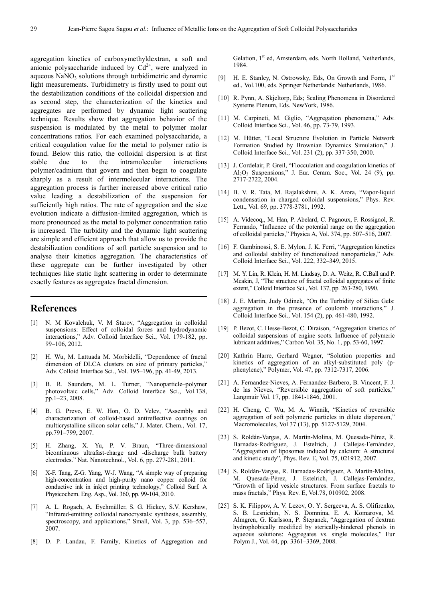aggregation kinetics of carboxymethyldextran, a soft and anionic polysaccharide induced by  $Cd^{2+}$ , were analyzed in aqueous  $\text{NaNO}_3$  solutions through turbidimetric and dynamic light measurements. Turbidimetry is firstly used to point out the destabilization conditions of the colloidal dispersion and as second step, the characterization of the kinetics and aggregates are performed by dynamic light scattering technique. Results show that aggregation behavior of the suspension is modulated by the metal to polymer molar concentrations ratios. For each examined polysaccharide, a critical coagulation value for the metal to polymer ratio is found. Below this ratio, the colloidal dispersion is at first stable due to the intramolecular interactions polymer/cadmium that govern and then begin to coagulate sharply as a result of intermolecular interactions. The aggregation process is further increased above critical ratio value leading a destabilization of the suspension for sufficiently high ratios. The rate of aggregation and the size evolution indicate a diffusion-limited aggregation, which is more pronounced as the metal to polymer concentration ratio is increased. The turbidity and the dynamic light scattering are simple and efficient approach that allow us to provide the destabilization conditions of soft particle suspension and to analyse their kinetics aggregation. The characteristics of these aggregate can be further investigated by other techniques like static light scattering in order to determinate exactly features as aggregates fractal dimension.

# **References**

- [1] N. M Kovalchuk, V. M Starov, "Aggregation in colloidal suspensions: Effect of colloidal forces and hydrodynamic interactions," Adv. Colloid Interface Sci., Vol. 179-182, pp. 99–106, 2012.
- [2] H. Wu, M. Lattuada M. Morbidelli, "Dependence of fractal dimension of DLCA clusters on size of primary particles," Adv. Colloid Interface Sci., Vol. 195–196, pp. 41-49, 2013.
- [3] B. R. Saunders, M. L. Turner, "Nanoparticle–polymer photovoltaic cells," Adv. Colloid Interface Sci., Vol.138, pp.1–23, 2008.
- [4] B. G. Prevo, E. W. Hon, O. D. Velev, "Assembly and characterization of colloid-based antireflective coatings on multicrystalline silicon solar cells," J. Mater. Chem., Vol. 17, pp.791–799, 2007.
- [5] H. Zhang, X. Yu, P. V. Braun, "Three-dimensional bicontinuous ultrafast-charge and -discharge bulk battery electrodes." Nat. Nanotechnol., Vol. 6, pp. 277-281, 2011.
- [6] X-F. Tang, Z-G. Yang, W-J. Wang, "A simple way of preparing high-concentration and high-purity nano copper colloid for conductive ink in inkjet printing technology," Colloid Surf. A Physicochem. Eng. Asp., Vol. 360, pp. 99-104, 2010.
- [7] A. L. Rogach, A. Eychmüller, S. G. Hickey, S.V. Kershaw, "Infrared-emitting colloidal nanocrystals: synthesis, assembly, spectroscopy, and applications," Small, Vol. 3, pp. 536–557, 2007.
- [8] D. P. Landau, F. Family, Kinetics of Aggregation and

Gelation, 1<sup>st</sup> ed, Amsterdam, eds. North Holland, Netherlands, 1984.

- [9] H. E. Stanley, N. Ostrowsky, Eds, On Growth and Form, 1<sup>st</sup> ed., Vol.100, eds. Springer Netherlands: Netherlands, 1986.
- [10] R. Pynn, A. Skjeltorp, Eds; Scaling Phenomena in Disordered Systems Plenum, Eds. NewYork, 1986.
- [11] M. Carpineti, M. Giglio, "Aggregation phenomena," Adv. Colloid Interface Sci., Vol. 46, pp. 73-79, 1993.
- [12] M. Hütter, "Local Structure Evolution in Particle Network Formation Studied by Brownian Dynamics Simulation," J. Colloid Interface Sci., Vol. 231 (2), pp. 337-350, 2000.
- [13] J. Cordelair, P. Greil, "Flocculation and coagulation kinetics of  $Al_2O_3$  Suspensions," J. Eur. Ceram. Soc., Vol. 24 (9), pp. 2717-2722, 2004.
- [14] B. V. R. Tata, M. Rajalakshmi, A. K. Arora, "Vapor-liquid condensation in charged colloidal suspensions," Phys. Rev. Lett., Vol. 69, pp. 3778-3781, 1992.
- [15] A. Videcoq,, M. Han, P. Abelard, C. Pagnoux, F. Rossignol, R. Ferrando, "Influence of the potential range on the aggregation of colloidal particles," Physica A, Vol. 374, pp. 507–516, 2007.
- [16] F. Gambinossi, S. E. Mylon, J. K. Ferri, "Aggregation kinetics and colloidal stability of functionalized nanoparticles," Adv. Colloid Interface Sci., Vol. 222, 332–349, 2015.
- [17] M. Y. Lin, R. Klein, H. M. Lindsay, D. A. Weitz, R. C.Ball and P. Meakin, J, "The structure of fractal colloidal aggregates of finite extent," Colloid Interface Sci., Vol. 137, pp. 263-280, 1990.
- [18] J. E. Martin, Judy Odinek, "On the Turbidity of Silica Gels: aggregation in the presence of coulomb interactions," J. Colloid Interface Sci., Vol. 154 (2), pp. 461-480, 1992.
- [19] P. Bezot, C. Hesse-Bezot, C. Diraison, "Aggregation kinetics of colloidal suspensions of engine soots. Influence of polymeric lubricant additives," Carbon Vol. 35, No. 1, pp. 53-60, 1997.
- [20] Kathrin Harre, Gerhard Wegner, "Solution properties and kinetics of aggregation of an alkyl-substituted poly (pphenylene)," Polymer, Vol. 47, pp. 7312-7317, 2006.
- [21] A. Fernandez-Nieves, A. Fernandez-Barbero, B. Vincent, F. J. de las Nieves, "Reversible aggregation of soft particles," Langmuir Vol. 17, pp. 1841-1846, 2001.
- [22] H. Cheng, C. Wu, M. A. Winnik, "Kinetics of reversible aggregation of soft polymeric particles in dilute dispersion,' Macromolecules, Vol 37 (13), pp. 5127-5129, 2004.
- [23] S. Roldán-Vargas, A. Martín-Molina, M. Quesada-Pérez, R. Barnadas-Rodríguez, J. Estelrich, J. Callejas-Fernández, "Aggregation of liposomes induced by calcium: A structural and kinetic study", Phys. Rev. E, Vol. 75, 021912, 2007.
- [24] S. Roldán-Vargas, R. Barnadas-Rodríguez, A. Martín-Molina, M. Quesada-Pérez, J. Estelrich, J. Callejas-Fernández, "Growth of lipid vesicle structures: From surface fractals to mass fractals," Phys. Rev. E, Vol.78, 010902, 2008.
- [25] S. K. Filippov, A. V. Lezov, O. Y. Sergeeva, A. S. Olifirenko, S. B. Lesnichin, N. S. Domnina, E. A. Komarova, M. Almgren, G. Karlsson, P. Štepanek, "Aggregation of dextran hydrophobically modified by sterically-hindered phenols in aqueous solutions: Aggregates vs. single molecules," Eur Polym J., Vol. 44, pp. 3361–3369, 2008.